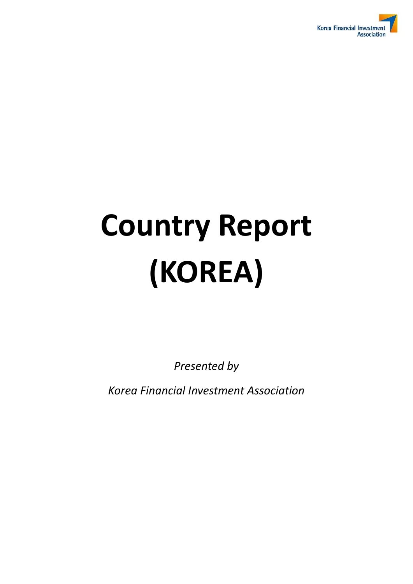

# **Country Report (KOREA)**

*Presented by* 

*Korea Financial Investment Association*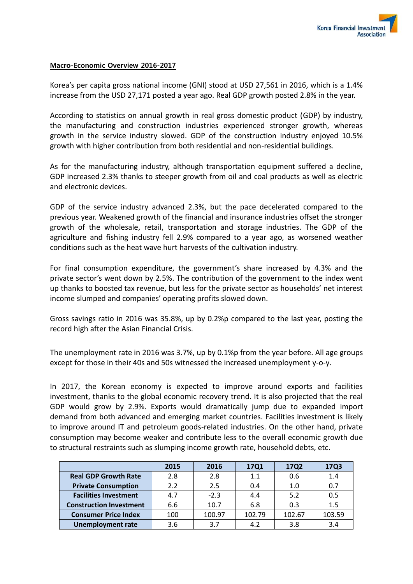

#### Macro-Economic Overview 2016-2017

Korea's per capita gross national income (GNI) stood at USD 27,561 in 2016, which is a 1.4% increase from the USD 27,171 posted a year ago. Real GDP growth posted 2.8% in the year.

According to statistics on annual growth in real gross domestic product (GDP) by industry, the manufacturing and construction industries experienced stronger growth, whereas growth in the service industry slowed. GDP of the construction industry enjoyed 10.5% growth with higher contribution from both residential and non-residential buildings.

As for the manufacturing industry, although transportation equipment suffered a decline, GDP increased 2.3% thanks to steeper growth from oil and coal products as well as electric and electronic devices.

GDP of the service industry advanced 2.3%, but the pace decelerated compared to the previous year. Weakened growth of the financial and insurance industries offset the stronger growth of the wholesale, retail, transportation and storage industries. The GDP of the agriculture and fishing industry fell 2.9% compared to a year ago, as worsened weather conditions such as the heat wave hurt harvests of the cultivation industry.

For final consumption expenditure, the government's share increased by 4.3% and the private sector's went down by 2.5%. The contribution of the government to the index went up thanks to boosted tax revenue, but less for the private sector as households' net interest income slumped and companies' operating profits slowed down.

Gross savings ratio in 2016 was 35.8%, up by 0.2%p compared to the last year, posting the record high after the Asian Financial Crisis.

The unemployment rate in 2016 was 3.7%, up by 0.1%p from the year before. All age groups except for those in their 40s and 50s witnessed the increased unemployment y-o-y.

In 2017, the Korean economy is expected to improve around exports and facilities investment, thanks to the global economic recovery trend. It is also projected that the real GDP would grow by 2.9%. Exports would dramatically jump due to expanded import demand from both advanced and emerging market countries. Facilities investment is likely to improve around IT and petroleum goods-related industries. On the other hand, private consumption may become weaker and contribute less to the overall economic growth due to structural restraints such as slumping income growth rate, household debts, etc.

|                                | 2015 | 2016   | 17Q1   | <b>17Q2</b> | 17Q3   |
|--------------------------------|------|--------|--------|-------------|--------|
| <b>Real GDP Growth Rate</b>    | 2.8  | 2.8    | 1.1    | 0.6         | 1.4    |
| <b>Private Consumption</b>     | 2.2  | 2.5    | 0.4    | 1.0         | 0.7    |
| <b>Facilities Investment</b>   | 4.7  | $-2.3$ | 4.4    | 5.2         | 0.5    |
| <b>Construction Investment</b> | 6.6  | 10.7   | 6.8    | 0.3         | 1.5    |
| <b>Consumer Price Index</b>    | 100  | 100.97 | 102.79 | 102.67      | 103.59 |
| <b>Unemployment rate</b>       | 3.6  | 3.7    | 4.2    | 3.8         | 3.4    |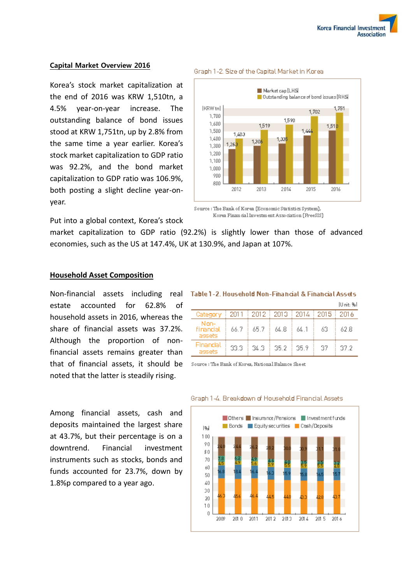#### Capital Market Overview 2016

Korea's stock market capitalization at the end of 2016 was KRW 1,510tn, a 4.5% year-on-year increase. The outstanding balance of bond issues stood at KRW 1,751tn, up by 2.8% from the same time a year earlier. Korea's stock market capitalization to GDP ratio was 92.2%, and the bond market capitalization to GDP ratio was 106.9%, both posting a slight decline year-onyear.



#### Graph 1-2. Size of the Capital Market in Korea

Put into a global context, Korea's stock

market capitalization to GDP ratio (92.2%) is slightly lower than those of advanced economies, such as the US at 147.4%, UK at 130.9%, and Japan at 107%.

#### **Household Asset Composition**

Non-financial assets including real estate accounted for 62.8% of household assets in 2016, whereas the share of financial assets was 37.2%. Although the proportion of nonfinancial assets remains greater than that of financial assets, it should be noted that the latter is steadily rising.

ITT mits Bull  $\frac{2015}{2015}$ Category 2011 2012 2013 2014 2016 Nonfinancial 66.7 65.7 64.8 64.1 63 62.8 assets Financial 33.3  $34.3$ 35.2 35.9 37 37.2 assets

Table 1-2. Household Non-Financial & Financial Assets

Source : The Bank of Korea, National Balance Sheet

Among financial assets, cash and deposits maintained the largest share at 43.7%, but their percentage is on a downtrend. Financial investment instruments such as stocks, bonds and funds accounted for 23.7%, down by 1.8%p compared to a year ago.



#### Graph 1-4. Breakdown of Household Financial Assets

Source: The Bank of Korea (Economic Statistics System), Korea Finan dal Investment Association (PreeSIS)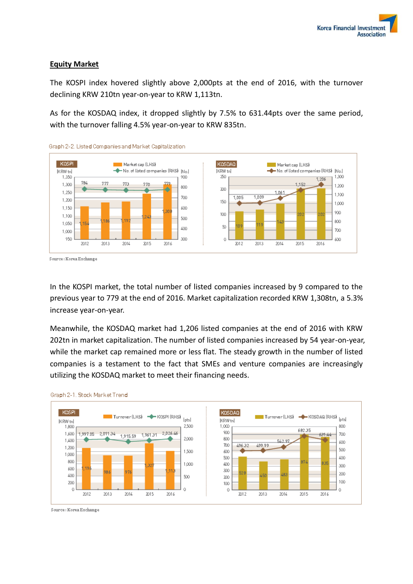## **Equity Market**

The KOSPI index hovered slightly above 2,000pts at the end of 2016, with the turnover declining KRW 210tn year-on-year to KRW 1,113tn.

As for the KOSDAQ index, it dropped slightly by 7.5% to 631.44pts over the same period, with the turnover falling 4.5% year-on-year to KRW 835tn.



Graph 2-2. Listed Companies and Market Capitalization

Source: Korea Exchange

In the KOSPI market, the total number of listed companies increased by 9 compared to the previous year to 779 at the end of 2016. Market capitalization recorded KRW 1,308tn, a 5.3% increase year-on-year.

Meanwhile, the KOSDAQ market had 1,206 listed companies at the end of 2016 with KRW 202tn in market capitalization. The number of listed companies increased by 54 year-on-year, while the market cap remained more or less flat. The steady growth in the number of listed companies is a testament to the fact that SMEs and venture companies are increasingly utilizing the KOSDAQ market to meet their financing needs.





Source: Korea Exchange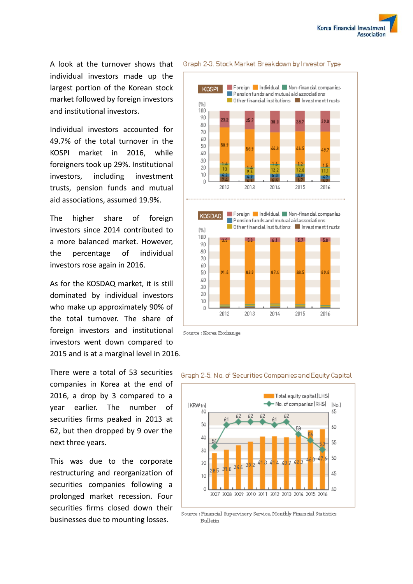A look at the turnover shows that individual investors made up the largest portion of the Korean stock market followed by foreign investors and institutional investors.

Individual investors accounted for 49.7% of the total turnover in the KOSPI market in 2016, while foreigners took up 29%. Institutional investors, including investment trusts, pension funds and mutual aid associations, assumed 19.9%.

The higher share of foreign investors since 2014 contributed to a more balanced market. However, the percentage of individual investors rose again in 2016.

As for the KOSDAQ market, it is still dominated by individual investors who make up approximately 90% of the total turnover. The share of foreign investors and institutional investors went down compared to 2015 and is at a marginal level in 2016.

There were a total of 53 securities companies in Korea at the end of 2016, a drop by 3 compared to a year earlier. The number of securities firms peaked in 2013 at 62, but then dropped by 9 over the next three years.

This was due to the corporate restructuring and reorganization of securities companies following a prolonged market recession. Four securities firms closed down their businesses due to mounting losses.



Graph 2-3. Stock Market Breakdown by Investor Type

Source : Korea Exchange



#### Graph 2-5, No. of Securities Companies and Equity Capital

Source : Financial Supervisory Service, Monthly Financial Statistics **Bulletin**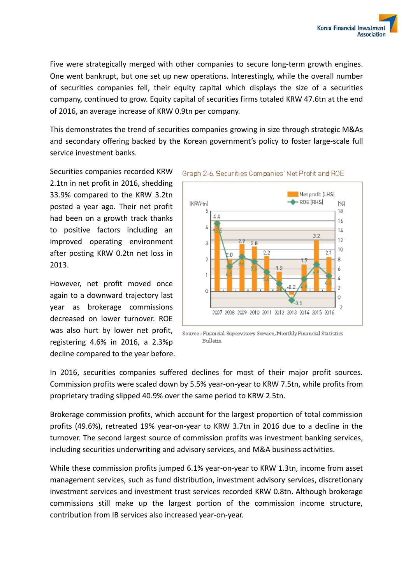Five were strategically merged with other companies to secure long-term growth engines. One went bankrupt, but one set up new operations. Interestingly, while the overall number of securities companies fell, their equity capital which displays the size of a securities company, continued to grow. Equity capital of securities firms totaled KRW 47.6tn at the end of 2016, an average increase of KRW 0.9tn per company.

This demonstrates the trend of securities companies growing in size through strategic M&As and secondary offering backed by the Korean government's policy to foster large-scale full service investment banks.

Securities companies recorded KRW 2.1tn in net profit in 2016, shedding 33.9% compared to the KRW 3.2tn posted a year ago. Their net profit had been on a growth track thanks to positive factors including an improved operating environment after posting KRW 0.2tn net loss in 2013.

However, net profit moved once again to a downward trajectory last year as brokerage commissions decreased on lower turnover. ROE was also hurt by lower net profit, registering 4.6% in 2016, a 2.3%p decline compared to the year before.



#### Graph 2-6, Securities Companies' Net Profit and ROE.

Source : Financial Supervisory Service, Monthly Financial Statistics **Bulletin** 

In 2016, securities companies suffered declines for most of their major profit sources. Commission profits were scaled down by 5.5% year-on-year to KRW 7.5tn, while profits from proprietary trading slipped 40.9% over the same period to KRW 2.5tn.

Brokerage commission profits, which account for the largest proportion of total commission profits (49.6%), retreated 19% year-on-year to KRW 3.7tn in 2016 due to a decline in the turnover. The second largest source of commission profits was investment banking services, including securities underwriting and advisory services, and M&A business activities.

While these commission profits jumped 6.1% year-on-year to KRW 1.3tn, income from asset management services, such as fund distribution, investment advisory services, discretionary investment services and investment trust services recorded KRW 0.8tn. Although brokerage commissions still make up the largest portion of the commission income structure, contribution from IB services also increased year-on-year.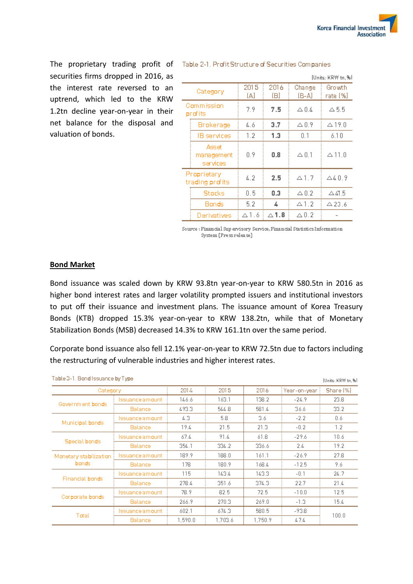securities firms dropped in 2016, as the interest rate reversed to an uptrend, which led to the KRW 1.2tn decline year-on-year in their net balance for the disposal and valuation of bonds.

The proprietary trading profit of Table 2-1. Profit Structure of Securities Companies

| ושל ,ותר ורמומה בבתורשן        |                                 |             |                    |                    |                    |  |  |
|--------------------------------|---------------------------------|-------------|--------------------|--------------------|--------------------|--|--|
| Category                       |                                 | 2015<br>(A) | 2016<br>(B)        | Change<br>(B-A)    | Growth<br>rate (%) |  |  |
| Commission<br>profits          |                                 | 7.9         | 7.5                | A 0.4              | △5.5               |  |  |
|                                | Brokerage                       | 4.6         | 3.7                | △ 0.9              | $\triangle$ 19.0   |  |  |
|                                | <b>IB</b> services              | 1.2         | 1.3                | 0.1                | 6.10               |  |  |
|                                | Asset<br>management<br>services | 0.9         | 0.8                | $\vartriangle 0.1$ | $\Delta$ 11.0      |  |  |
| Proprietary<br>trading profits |                                 | 4.2         | 2.5                | $\triangle$ 1.7    | $\triangle 40.9$   |  |  |
|                                | Stocks                          | 0.5         | 0.3                | $\triangle 0.2$    | $\triangle$ 41.5   |  |  |
|                                | Bonds                           | 5.2         | ∡                  | $\Delta$ 1.2       | $\Delta$ 23.6      |  |  |
|                                | Derivatives                     | △1.6        | $\vartriangle$ 1.8 | $\vartriangle 0.2$ |                    |  |  |

Source : Financial Sup ervisory Service, Financial Statistics Information System (Pressrelease)

#### **Bond Market**

Bond issuance was scaled down by KRW 93.8tn year-on-year to KRW 580.5tn in 2016 as higher bond interest rates and larger volatility prompted issuers and institutional investors to put off their issuance and investment plans. The issuance amount of Korea Treasury Bonds (KTB) dropped 15.3% year-on-year to KRW 138.2tn, while that of Monetary Stabilization Bonds (MSB) decreased 14.3% to KRW 161.1tn over the same period.

Corporate bond issuance also fell 12.1% year-on-year to KRW 72.5tn due to factors including the restructuring of vulnerable industries and higher interest rates.

| Table 3-1. Bond Issuance by Type |                   |         |         |         |              | [Units: KRW tn, %] |
|----------------------------------|-------------------|---------|---------|---------|--------------|--------------------|
| Category                         |                   | 2014    | 2015    | 2016    | Year-on-year | Share [%]          |
| Government bonds                 | Issuance am ount. | 146.6   | 163.1   | 138.2   | $-24.9$      | 23.8               |
|                                  | <b>Balance</b>    | 493.3   | 544.8   | 581.4   | 36.6         | 33.2               |
| Municipal bonds.                 | Issuance am ount- | 4.3     | 5.8     | 3.6     | $-2.2$       | 0.6                |
|                                  | <b>Balance</b>    | 19.4    | 21.5    | 21.3    | $-0.2$       | 1.2                |
| Special bonds                    | Issuance am ount- | 67.4    | 91.4    | 61.8    | $-29.6$      | 10.6               |
|                                  | <b>Balance</b>    | 354.1   | 334.2   | 336.6   | 2.4          | 19.2               |
| Monetary stabilization<br>bonds  | Issuance am ount- | 189.9   | 188.0   | 161.1   | $-26.9$      | 27.8               |
|                                  | <b>Balance</b>    | 178     | 180.9   | 168.4   | $-12.5$      | 9.6                |
| Financial bonds                  | Issuance amount i | 115     | 143.4   | 143.3   | $-0.1$       | 24.7               |
|                                  | <b>Balance</b>    | 278.4   | 351.6   | 374.3   | 22.7         | 21.4               |
| Corporate bonds                  | Issuance am ount- | 78.9    | 82.5    | 72.5    | $-10.0$      | 12.5               |
|                                  | <b>Balance</b>    | 266.9   | 270.3   | 269.0   | $-1.3$       | 15.4               |
| Total                            | Issuance amount i | 602.1   | 674.3   | 580.5   | -93.8        |                    |
|                                  | Balance           | 1.590.0 | 1.703.6 | 1.750.9 | 47.4         | 100.0              |

Trigger Montre, act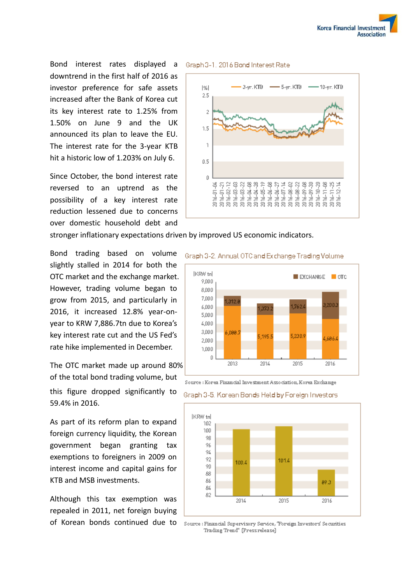

Bond interest rates displayed a Graph 3-1, 2016 Bond Interest Rate downtrend in the first half of 2016 as investor preference for safe assets increased after the Bank of Korea cut its key interest rate to 1.25% from 1.50% on June 9 and the UK announced its plan to leave the EU. The interest rate for the 3-year KTB hit a historic low of 1.203% on July 6.

Since October, the bond interest rate reversed to an uptrend as the possibility of a key interest rate reduction lessened due to concerns over domestic household debt and



stronger inflationary expectations driven by improved US economic indicators.

Bond trading based on volume slightly stalled in 2014 for both the OTC market and the exchange market. However, trading volume began to grow from 2015, and particularly in 2016, it increased 12.8% year-onyear to KRW 7,886.7tn due to Korea's key interest rate cut and the US Fed's rate hike implemented in December.

The OTC market made up around 80% of the total bond trading volume, but this figure dropped significantly to 59.4% in 2016.

As part of its reform plan to expand foreign currency liquidity, the Korean government began granting tax exemptions to foreigners in 2009 on interest income and capital gains for KTB and MSB investments.

Although this tax exemption was repealed in 2011, net foreign buying of Korean bonds continued due to

# Graph 3-2, Annual OTC and Exchange Trading Volume



Source : Korea Financial Investment Association, Korea Exchange

#### Graph 3-5. Korean Bonds Held by Foreign Investors



Source : Financial Supervisory Service, "Foreign Investors' Securities Trading Trend" (Pressrelease)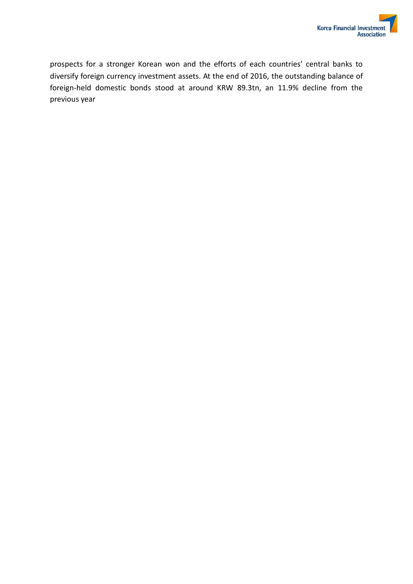prospects for a stronger Korean won and the efforts of each countries' central banks to diversify foreign currency investment assets. At the end of 2016, the outstanding balance of foreign-held domestic bonds stood at around KRW 89.3tn, an 11.9% decline from the previous year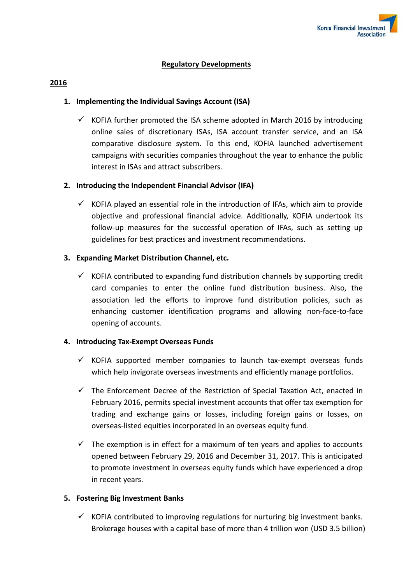

#### **Regulatory Developments**

#### **2016**

## **1. Implementing the Individual Savings Account (ISA)**

 $\checkmark$  KOFIA further promoted the ISA scheme adopted in March 2016 by introducing online sales of discretionary ISAs, ISA account transfer service, and an ISA comparative disclosure system. To this end, KOFIA launched advertisement campaigns with securities companies throughout the year to enhance the public interest in ISAs and attract subscribers.

## **2. Introducing the Independent Financial Advisor (IFA)**

 $\checkmark$  KOFIA played an essential role in the introduction of IFAs, which aim to provide objective and professional financial advice. Additionally, KOFIA undertook its follow-up measures for the successful operation of IFAs, such as setting up guidelines for best practices and investment recommendations.

## **3. Expanding Market Distribution Channel, etc.**

 $\checkmark$  KOFIA contributed to expanding fund distribution channels by supporting credit card companies to enter the online fund distribution business. Also, the association led the efforts to improve fund distribution policies, such as enhancing customer identification programs and allowing non-face-to-face opening of accounts.

#### **4. Introducing Tax-Exempt Overseas Funds**

- $\checkmark$  KOFIA supported member companies to launch tax-exempt overseas funds which help invigorate overseas investments and efficiently manage portfolios.
- $\checkmark$  The Enforcement Decree of the Restriction of Special Taxation Act, enacted in February 2016, permits special investment accounts that offer tax exemption for trading and exchange gains or losses, including foreign gains or losses, on overseas-listed equities incorporated in an overseas equity fund.
- $\checkmark$  The exemption is in effect for a maximum of ten years and applies to accounts opened between February 29, 2016 and December 31, 2017. This is anticipated to promote investment in overseas equity funds which have experienced a drop in recent years.

#### **5. Fostering Big Investment Banks**

 $\checkmark$  KOFIA contributed to improving regulations for nurturing big investment banks. Brokerage houses with a capital base of more than 4 trillion won (USD 3.5 billion)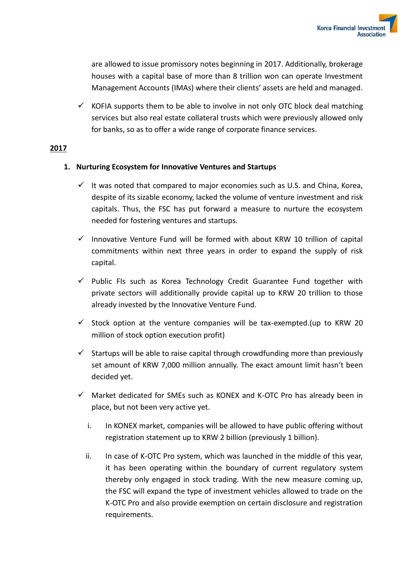are allowed to issue promissory notes beginning in 2017. Additionally, brokerage houses with a capital base of more than 8 trillion won can operate Investment Management Accounts (IMAs) where their clients' assets are held and managed.

 $\checkmark$  KOFIA supports them to be able to involve in not only OTC block deal matching services but also real estate collateral trusts which were previously allowed only for banks, so as to offer a wide range of corporate finance services.

# **2017**

# **1. Nurturing Ecosystem for Innovative Ventures and Startups**

- $\checkmark$  It was noted that compared to major economies such as U.S. and China, Korea, despite of its sizable economy, lacked the volume of venture investment and risk capitals. Thus, the FSC has put forward a measure to nurture the ecosystem needed for fostering ventures and startups.
- $\checkmark$  Innovative Venture Fund will be formed with about KRW 10 trillion of capital commitments within next three years in order to expand the supply of risk capital.
- $\checkmark$  Public FIs such as Korea Technology Credit Guarantee Fund together with private sectors will additionally provide capital up to KRW 20 trillion to those already invested by the Innovative Venture Fund.
- $\checkmark$  Stock option at the venture companies will be tax-exempted. (up to KRW 20 million of stock option execution profit)
- $\checkmark$  Startups will be able to raise capital through crowdfunding more than previously set amount of KRW 7,000 million annually. The exact amount limit hasn't been decided yet.
- $\checkmark$  Market dedicated for SMEs such as KONEX and K-OTC Pro has already been in place, but not been very active yet.
	- i. In KONEX market, companies will be allowed to have public offering without registration statement up to KRW 2 billion (previously 1 billion).
	- ii. In case of K-OTC Pro system, which was launched in the middle of this year, it has been operating within the boundary of current regulatory system thereby only engaged in stock trading. With the new measure coming up, the FSC will expand the type of investment vehicles allowed to trade on the K-OTC Pro and also provide exemption on certain disclosure and registration requirements.